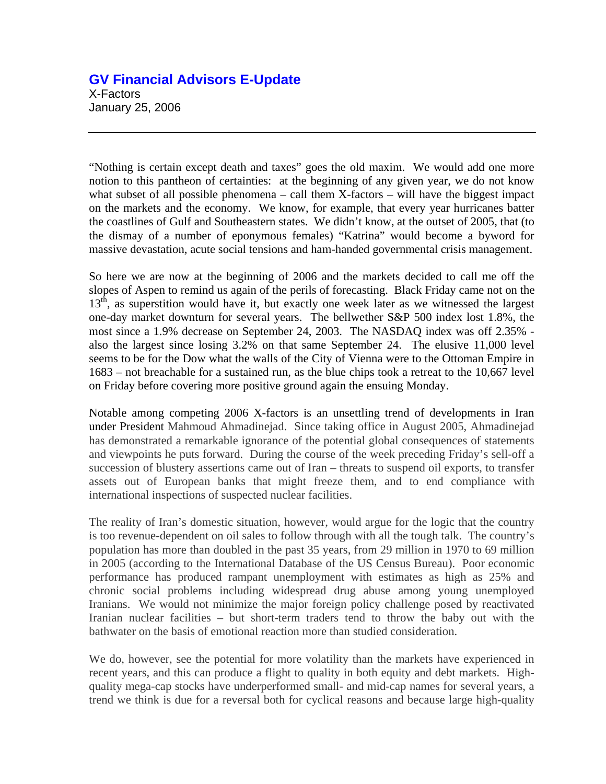## **GV Financial Advisors E-Update**  X-Factors January 25, 2006

"Nothing is certain except death and taxes" goes the old maxim. We would add one more notion to this pantheon of certainties: at the beginning of any given year, we do not know what subset of all possible phenomena – call them  $X$ -factors – will have the biggest impact on the markets and the economy. We know, for example, that every year hurricanes batter the coastlines of Gulf and Southeastern states. We didn't know, at the outset of 2005, that (to the dismay of a number of eponymous females) "Katrina" would become a byword for massive devastation, acute social tensions and ham-handed governmental crisis management.

So here we are now at the beginning of 2006 and the markets decided to call me off the slopes of Aspen to remind us again of the perils of forecasting. Black Friday came not on the  $13<sup>th</sup>$ , as superstition would have it, but exactly one week later as we witnessed the largest one-day market downturn for several years. The bellwether S&P 500 index lost 1.8%, the most since a 1.9% decrease on September 24, 2003. The NASDAQ index was off 2.35% also the largest since losing 3.2% on that same September 24. The elusive 11,000 level seems to be for the Dow what the walls of the City of Vienna were to the Ottoman Empire in 1683 – not breachable for a sustained run, as the blue chips took a retreat to the 10,667 level on Friday before covering more positive ground again the ensuing Monday.

Notable among competing 2006 X-factors is an unsettling trend of developments in Iran under President Mahmoud Ahmadinejad. Since taking office in August 2005, Ahmadinejad has demonstrated a remarkable ignorance of the potential global consequences of statements and viewpoints he puts forward. During the course of the week preceding Friday's sell-off a succession of blustery assertions came out of Iran – threats to suspend oil exports, to transfer assets out of European banks that might freeze them, and to end compliance with international inspections of suspected nuclear facilities.

The reality of Iran's domestic situation, however, would argue for the logic that the country is too revenue-dependent on oil sales to follow through with all the tough talk. The country's population has more than doubled in the past 35 years, from 29 million in 1970 to 69 million in 2005 (according to the International Database of the US Census Bureau). Poor economic performance has produced rampant unemployment with estimates as high as 25% and chronic social problems including widespread drug abuse among young unemployed Iranians. We would not minimize the major foreign policy challenge posed by reactivated Iranian nuclear facilities – but short-term traders tend to throw the baby out with the bathwater on the basis of emotional reaction more than studied consideration.

We do, however, see the potential for more volatility than the markets have experienced in recent years, and this can produce a flight to quality in both equity and debt markets. Highquality mega-cap stocks have underperformed small- and mid-cap names for several years, a trend we think is due for a reversal both for cyclical reasons and because large high-quality